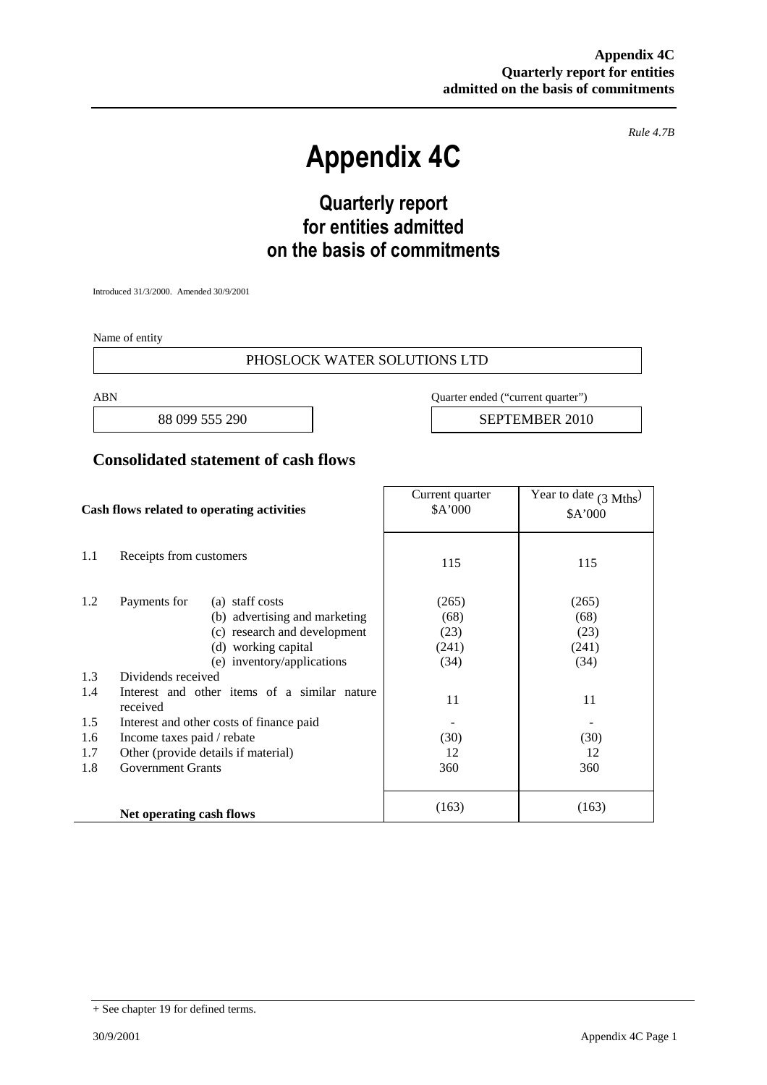*Rule 4.7B*

# **Appendix 4C**

# **Quarterly report for entities admitted on the basis of commitments**

Introduced 31/3/2000. Amended 30/9/2001

Name of entity

#### PHOSLOCK WATER SOLUTIONS LTD

ABN Quarter ended ("current quarter")

88 099 555 290 **SEPTEMBER** 2010

#### **Consolidated statement of cash flows**

| Cash flows related to operating activities |                                                          | Current quarter<br>\$A'000 | Year to date $(3 \text{ Mths})$<br>\$A'000 |
|--------------------------------------------|----------------------------------------------------------|----------------------------|--------------------------------------------|
| 1.1                                        | Receipts from customers                                  | 115                        | 115                                        |
| 1.2                                        | Payments for<br>(a) staff costs                          | (265)                      | (265)                                      |
|                                            | (b) advertising and marketing                            | (68)                       | (68)                                       |
|                                            | (c) research and development                             | (23)                       | (23)                                       |
|                                            | (d) working capital                                      | (241)                      | (241)                                      |
|                                            | (e) inventory/applications                               | (34)                       | (34)                                       |
| 1.3                                        | Dividends received                                       |                            |                                            |
| 1.4                                        | Interest and other items of a similar nature<br>received | 11                         | 11                                         |
| 1.5                                        | Interest and other costs of finance paid                 |                            |                                            |
| 1.6                                        | Income taxes paid / rebate                               | (30)                       | (30)                                       |
| 1.7                                        | Other (provide details if material)                      | 12                         | 12                                         |
| 1.8                                        | <b>Government Grants</b>                                 | 360                        | 360                                        |
|                                            | Net operating cash flows                                 | (163)                      | (163)                                      |

<sup>+</sup> See chapter 19 for defined terms.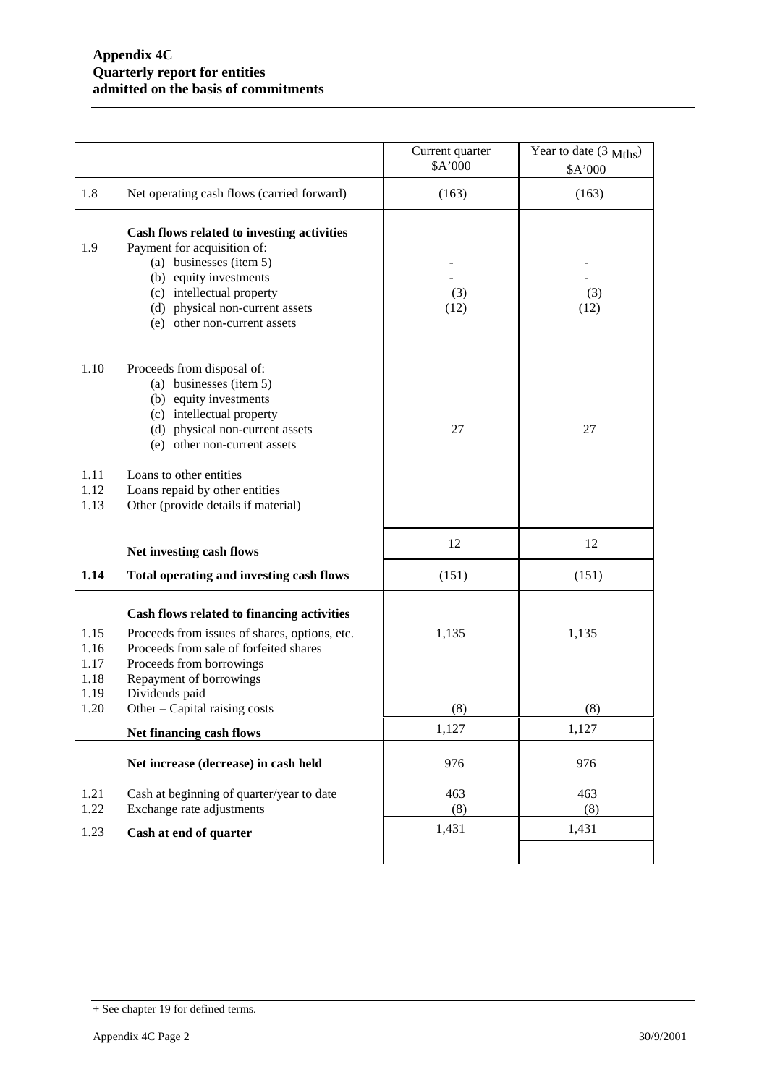|                                      |                                                                                                                                                                                                                                | Current quarter<br>\$A'000 | Year to date (3 Mths)<br>\$A'000 |
|--------------------------------------|--------------------------------------------------------------------------------------------------------------------------------------------------------------------------------------------------------------------------------|----------------------------|----------------------------------|
| 1.8                                  | Net operating cash flows (carried forward)                                                                                                                                                                                     | (163)                      | (163)                            |
| 1.9                                  | Cash flows related to investing activities<br>Payment for acquisition of:<br>(a) businesses (item 5)<br>(b) equity investments<br>(c) intellectual property<br>(d) physical non-current assets<br>(e) other non-current assets | (3)<br>(12)                | (3)<br>(12)                      |
| 1.10                                 | Proceeds from disposal of:<br>(a) businesses (item 5)<br>(b) equity investments<br>(c) intellectual property<br>(d) physical non-current assets<br>(e) other non-current assets                                                | 27                         | 27                               |
| 1.11<br>1.12<br>1.13                 | Loans to other entities<br>Loans repaid by other entities<br>Other (provide details if material)                                                                                                                               |                            |                                  |
|                                      | Net investing cash flows                                                                                                                                                                                                       | 12                         | 12                               |
| 1.14                                 | Total operating and investing cash flows                                                                                                                                                                                       | (151)                      | (151)                            |
| 1.15<br>1.16<br>1.17<br>1.18<br>1.19 | Cash flows related to financing activities<br>Proceeds from issues of shares, options, etc.<br>Proceeds from sale of forfeited shares<br>Proceeds from borrowings<br>Repayment of borrowings<br>Dividends paid                 | 1,135                      | 1,135                            |
| 1.20                                 | Other – Capital raising costs                                                                                                                                                                                                  | (8)                        | (8)                              |
|                                      | Net financing cash flows                                                                                                                                                                                                       | 1,127                      | 1,127                            |
|                                      | Net increase (decrease) in cash held                                                                                                                                                                                           | 976                        | 976                              |
| 1.21                                 | Cash at beginning of quarter/year to date                                                                                                                                                                                      | 463                        | 463                              |
| 1.22                                 | Exchange rate adjustments                                                                                                                                                                                                      | (8)<br>1,431               | (8)<br>1,431                     |
| 1.23                                 | Cash at end of quarter                                                                                                                                                                                                         |                            |                                  |

<sup>+</sup> See chapter 19 for defined terms.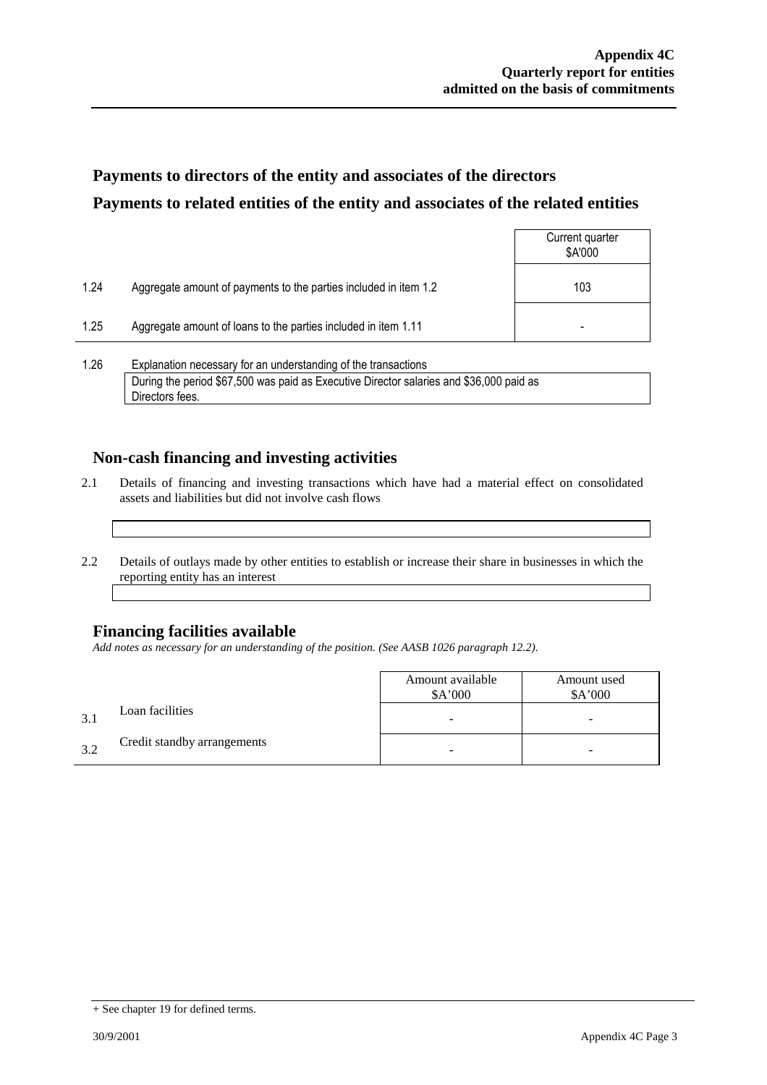## **Payments to directors of the entity and associates of the directors Payments to related entities of the entity and associates of the related entities**

|      |                                                                  | Current quarter<br>\$A'000 |
|------|------------------------------------------------------------------|----------------------------|
| 1.24 | Aggregate amount of payments to the parties included in item 1.2 | 103                        |
| 1.25 | Aggregate amount of loans to the parties included in item 1.11   | -                          |
|      |                                                                  |                            |

1.26 Explanation necessary for an understanding of the transactions During the period \$67,500 was paid as Executive Director salaries and \$36,000 paid as Directors fees.

### **Non-cash financing and investing activities**

- 2.1 Details of financing and investing transactions which have had a material effect on consolidated assets and liabilities but did not involve cash flows
- 2.2 Details of outlays made by other entities to establish or increase their share in businesses in which the reporting entity has an interest

### **Financing facilities available**

*Add notes as necessary for an understanding of the position. (See AASB 1026 paragraph 12.2).*

|     |                             | Amount available<br>\$A'000 | Amount used<br>\$A'000 |
|-----|-----------------------------|-----------------------------|------------------------|
| 3.1 | Loan facilities             | -                           | -                      |
| 39  | Credit standby arrangements |                             | -                      |

<sup>+</sup> See chapter 19 for defined terms.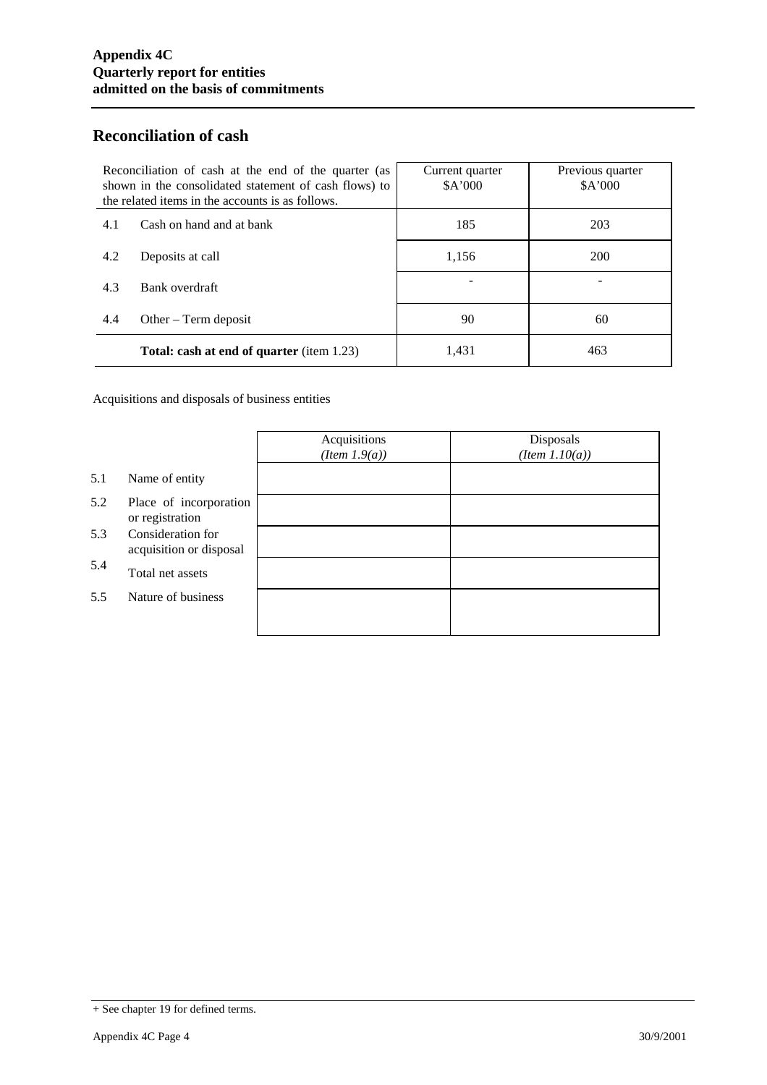### **Reconciliation of cash**

| Reconciliation of cash at the end of the quarter (as<br>shown in the consolidated statement of cash flows) to<br>the related items in the accounts is as follows. |                                                  | Current quarter<br>\$A'000 | Previous quarter<br>\$A'000 |
|-------------------------------------------------------------------------------------------------------------------------------------------------------------------|--------------------------------------------------|----------------------------|-----------------------------|
| 4.1                                                                                                                                                               | Cash on hand and at bank                         | 185                        | 203                         |
| 4.2                                                                                                                                                               | Deposits at call                                 | 1.156                      | 200                         |
| 4.3                                                                                                                                                               | Bank overdraft                                   |                            |                             |
| 4.4                                                                                                                                                               | Other $-$ Term deposit                           | 90                         | 60                          |
|                                                                                                                                                                   | <b>Total: cash at end of quarter</b> (item 1.23) | 1,431                      | 463                         |

Acquisitions and disposals of business entities

|     |                                              | Acquisitions<br>$(Item\ 1.9(a))$ | Disposals<br>$(Item\ 1.10(a))$ |
|-----|----------------------------------------------|----------------------------------|--------------------------------|
| 5.1 | Name of entity                               |                                  |                                |
| 5.2 | Place of incorporation<br>or registration    |                                  |                                |
| 5.3 | Consideration for<br>acquisition or disposal |                                  |                                |
| 5.4 | Total net assets                             |                                  |                                |
| 5.5 | Nature of business                           |                                  |                                |
|     |                                              |                                  |                                |

<sup>+</sup> See chapter 19 for defined terms.